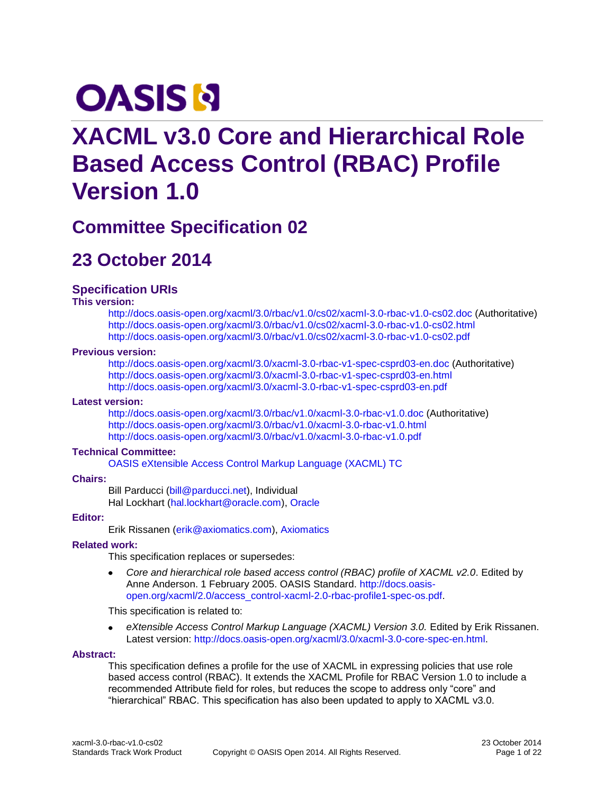# **OASIS N**

# **XACML v3.0 Core and Hierarchical Role Based Access Control (RBAC) Profile Version 1.0**

# **Committee Specification 02**

# **23 October 2014**

### **Specification URIs**

#### **This version:**

<http://docs.oasis-open.org/xacml/3.0/rbac/v1.0/cs02/xacml-3.0-rbac-v1.0-cs02.doc> (Authoritative) <http://docs.oasis-open.org/xacml/3.0/rbac/v1.0/cs02/xacml-3.0-rbac-v1.0-cs02.html> <http://docs.oasis-open.org/xacml/3.0/rbac/v1.0/cs02/xacml-3.0-rbac-v1.0-cs02.pdf>

#### **Previous version:**

<http://docs.oasis-open.org/xacml/3.0/xacml-3.0-rbac-v1-spec-csprd03-en.doc> (Authoritative) <http://docs.oasis-open.org/xacml/3.0/xacml-3.0-rbac-v1-spec-csprd03-en.html> <http://docs.oasis-open.org/xacml/3.0/xacml-3.0-rbac-v1-spec-csprd03-en.pdf>

#### **Latest version:**

<http://docs.oasis-open.org/xacml/3.0/rbac/v1.0/xacml-3.0-rbac-v1.0.doc> (Authoritative) <http://docs.oasis-open.org/xacml/3.0/rbac/v1.0/xacml-3.0-rbac-v1.0.html> <http://docs.oasis-open.org/xacml/3.0/rbac/v1.0/xacml-3.0-rbac-v1.0.pdf>

#### **Technical Committee:**

[OASIS eXtensible Access Control Markup Language \(XACML\) TC](https://www.oasis-open.org/committees/xacml/)

#### **Chairs:**

Bill Parducci [\(bill@parducci.net\)](mailto:bill@parducci.net), Individual Hal Lockhart [\(hal.lockhart@oracle.com\)](mailto:hal.lockhart@oracle.com), [Oracle](http://www.oracle.com/)

#### **Editor:**

Erik Rissanen [\(erik@axiomatics.com\)](mailto:erik@axiomatics.com), [Axiomatics](http://www.axiomatics.com/)

#### **Related work:**

This specification replaces or supersedes:

*Core and hierarchical role based access control (RBAC) profile of XACML v2.0*. Edited by  $\bullet$ Anne Anderson. 1 February 2005. OASIS Standard. [http://docs.oasis](http://docs.oasis-open.org/xacml/2.0/access_control-xacml-2.0-rbac-profile1-spec-os.pdf)[open.org/xacml/2.0/access\\_control-xacml-2.0-rbac-profile1-spec-os.pdf.](http://docs.oasis-open.org/xacml/2.0/access_control-xacml-2.0-rbac-profile1-spec-os.pdf)

This specification is related to:

 $\bullet$ *eXtensible Access Control Markup Language (XACML) Version 3.0.* Edited by Erik Rissanen. Latest version: [http://docs.oasis-open.org/xacml/3.0/xacml-3.0-core-spec-en.html.](http://docs.oasis-open.org/xacml/3.0/xacml-3.0-core-spec-en.html)

#### **Abstract:**

This specification defines a profile for the use of XACML in expressing policies that use role based access control (RBAC). It extends the XACML Profile for RBAC Version 1.0 to include a recommended Attribute field for roles, but reduces the scope to address only "core" and "hierarchical" RBAC. This specification has also been updated to apply to XACML v3.0.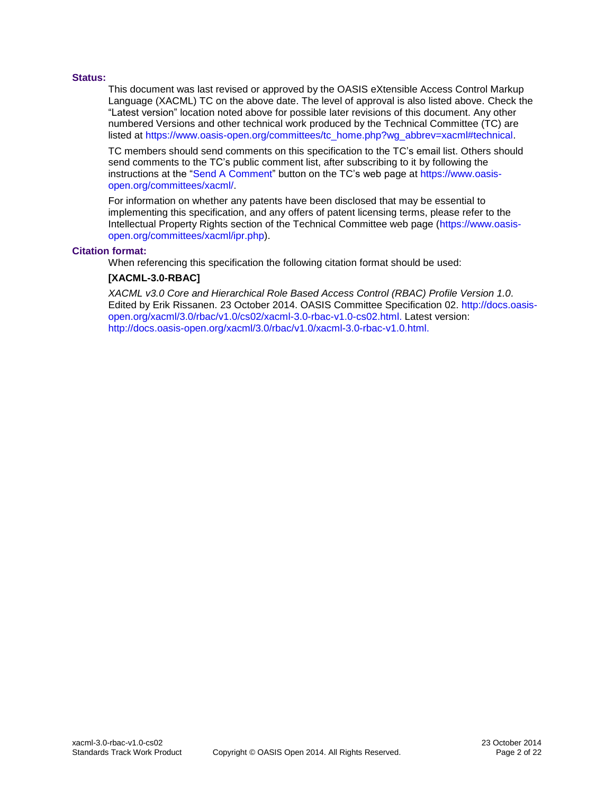#### **Status:**

This document was last revised or approved by the OASIS eXtensible Access Control Markup Language (XACML) TC on the above date. The level of approval is also listed above. Check the "Latest version" location noted above for possible later revisions of this document. Any other numbered Versions and other technical work produced by the Technical Committee (TC) are listed at [https://www.oasis-open.org/committees/tc\\_home.php?wg\\_abbrev=xacml#technical.](https://www.oasis-open.org/committees/tc_home.php?wg_abbrev=xacml#technical)

TC members should send comments on this specification to the TC's email list. Others should send comments to the TC's public comment list, after subscribing to it by following the instructions at the ["Send A Comment"](https://www.oasis-open.org/committees/comments/index.php?wg_abbrev=xacml) button on the TC's web page at [https://www.oasis](https://www.oasis-open.org/committees/xacml/)[open.org/committees/xacml/.](https://www.oasis-open.org/committees/xacml/)

For information on whether any patents have been disclosed that may be essential to implementing this specification, and any offers of patent licensing terms, please refer to the Intellectual Property Rights section of the Technical Committee web page [\(https://www.oasis](https://www.oasis-open.org/committees/xacml/ipr.php)[open.org/committees/xacml/ipr.php\)](https://www.oasis-open.org/committees/xacml/ipr.php).

#### **Citation format:**

When referencing this specification the following citation format should be used:

#### **[XACML-3.0-RBAC]**

*XACML v3.0 Core and Hierarchical Role Based Access Control (RBAC) Profile Version 1.0.*  Edited by Erik Rissanen. 23 October 2014. OASIS Committee Specification 02. [http://docs.oasis](http://docs.oasis-open.org/xacml/3.0/rbac/v1.0/cs02/xacml-3.0-rbac-v1.0-cs02.html)[open.org/xacml/3.0/rbac/v1.0/cs02/xacml-3.0-rbac-v1.0-cs02.html.](http://docs.oasis-open.org/xacml/3.0/rbac/v1.0/cs02/xacml-3.0-rbac-v1.0-cs02.html) Latest version: [http://docs.oasis-open.org/xacml/3.0/rbac/v1.0/xacml-3.0-rbac-v1.0.html.](http://docs.oasis-open.org/xacml/3.0/rbac/v1.0/xacml-3.0-rbac-v1.0.html)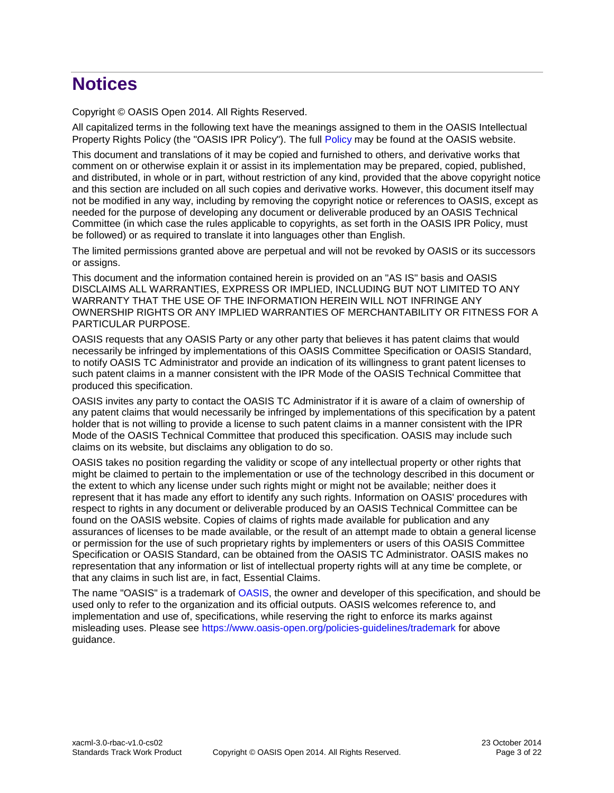# **Notices**

Copyright © OASIS Open 2014. All Rights Reserved.

All capitalized terms in the following text have the meanings assigned to them in the OASIS Intellectual Property Rights Policy (the "OASIS IPR Policy"). The full [Policy](https://www.oasis-open.org/policies-guidelines/ipr) may be found at the OASIS website.

This document and translations of it may be copied and furnished to others, and derivative works that comment on or otherwise explain it or assist in its implementation may be prepared, copied, published, and distributed, in whole or in part, without restriction of any kind, provided that the above copyright notice and this section are included on all such copies and derivative works. However, this document itself may not be modified in any way, including by removing the copyright notice or references to OASIS, except as needed for the purpose of developing any document or deliverable produced by an OASIS Technical Committee (in which case the rules applicable to copyrights, as set forth in the OASIS IPR Policy, must be followed) or as required to translate it into languages other than English.

The limited permissions granted above are perpetual and will not be revoked by OASIS or its successors or assigns.

This document and the information contained herein is provided on an "AS IS" basis and OASIS DISCLAIMS ALL WARRANTIES, EXPRESS OR IMPLIED, INCLUDING BUT NOT LIMITED TO ANY WARRANTY THAT THE USE OF THE INFORMATION HEREIN WILL NOT INFRINGE ANY OWNERSHIP RIGHTS OR ANY IMPLIED WARRANTIES OF MERCHANTABILITY OR FITNESS FOR A PARTICULAR PURPOSE.

OASIS requests that any OASIS Party or any other party that believes it has patent claims that would necessarily be infringed by implementations of this OASIS Committee Specification or OASIS Standard, to notify OASIS TC Administrator and provide an indication of its willingness to grant patent licenses to such patent claims in a manner consistent with the IPR Mode of the OASIS Technical Committee that produced this specification.

OASIS invites any party to contact the OASIS TC Administrator if it is aware of a claim of ownership of any patent claims that would necessarily be infringed by implementations of this specification by a patent holder that is not willing to provide a license to such patent claims in a manner consistent with the IPR Mode of the OASIS Technical Committee that produced this specification. OASIS may include such claims on its website, but disclaims any obligation to do so.

OASIS takes no position regarding the validity or scope of any intellectual property or other rights that might be claimed to pertain to the implementation or use of the technology described in this document or the extent to which any license under such rights might or might not be available; neither does it represent that it has made any effort to identify any such rights. Information on OASIS' procedures with respect to rights in any document or deliverable produced by an OASIS Technical Committee can be found on the OASIS website. Copies of claims of rights made available for publication and any assurances of licenses to be made available, or the result of an attempt made to obtain a general license or permission for the use of such proprietary rights by implementers or users of this OASIS Committee Specification or OASIS Standard, can be obtained from the OASIS TC Administrator. OASIS makes no representation that any information or list of intellectual property rights will at any time be complete, or that any claims in such list are, in fact, Essential Claims.

The name "OASIS" is a trademark of [OASIS,](https://www.oasis-open.org/) the owner and developer of this specification, and should be used only to refer to the organization and its official outputs. OASIS welcomes reference to, and implementation and use of, specifications, while reserving the right to enforce its marks against misleading uses. Please see<https://www.oasis-open.org/policies-guidelines/trademark> for above guidance.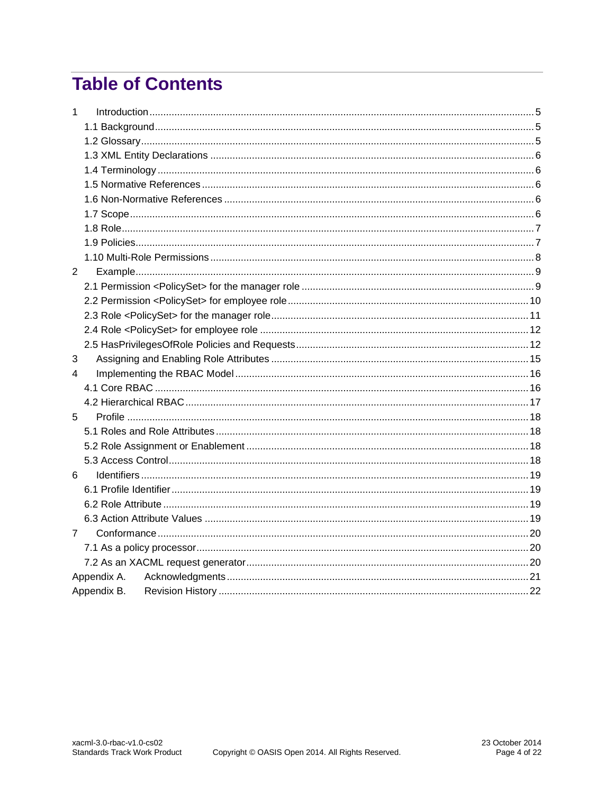# **Table of Contents**

| $\mathbf{1}$   |             |  |  |
|----------------|-------------|--|--|
|                |             |  |  |
|                |             |  |  |
|                |             |  |  |
|                |             |  |  |
|                |             |  |  |
|                |             |  |  |
|                |             |  |  |
|                |             |  |  |
|                |             |  |  |
|                |             |  |  |
| $\overline{2}$ |             |  |  |
|                |             |  |  |
|                |             |  |  |
|                |             |  |  |
|                |             |  |  |
|                |             |  |  |
| 3              |             |  |  |
| 4              |             |  |  |
|                |             |  |  |
|                |             |  |  |
| 5              |             |  |  |
|                |             |  |  |
|                |             |  |  |
|                |             |  |  |
| 6              |             |  |  |
|                |             |  |  |
|                |             |  |  |
|                |             |  |  |
| $\overline{7}$ |             |  |  |
|                |             |  |  |
|                |             |  |  |
|                | Appendix A. |  |  |
|                | Appendix B. |  |  |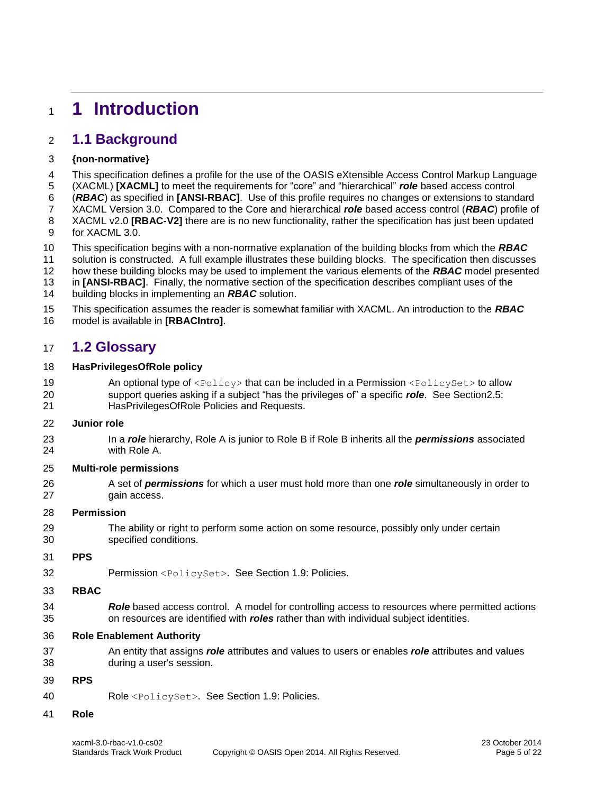# <span id="page-4-0"></span>**1 Introduction**

# <span id="page-4-1"></span>**1.1 Background**

### **{non-normative}**

This specification defines a profile for the use of the OASIS eXtensible Access Control Markup Language

 (XACML) **[\[XACML\]](#page-5-5)** to meet the requirements for "core" and "hierarchical" *role* based access control (*RBAC*) as specified in **[\[ANSI-RBAC\]](#page-5-6)**. Use of this profile requires no changes or extensions to standard

XACML Version 3.0. Compared to the Core and hierarchical *role* based access control (*RBAC*) profile of

 XACML v2.0 **[\[RBAC-V2\]](#page-5-7)** there are is no new functionality, rather the specification has just been updated for XACML 3.0.

This specification begins with a non-normative explanation of the building blocks from which the *RBAC*

solution is constructed. A full example illustrates these building blocks. The specification then discusses

how these building blocks may be used to implement the various elements of the *RBAC* model presented

in **[\[ANSI-RBAC\]](#page-5-6)**. Finally, the normative section of the specification describes compliant uses of the

building blocks in implementing an *RBAC* solution.

This specification assumes the reader is somewhat familiar with XACML. An introduction to the *RBAC*

model is available in **[\[RBACIntro\]](#page-5-8)**.

### <span id="page-4-2"></span>**1.2 Glossary**

#### **HasPrivilegesOfRole policy**

19 An optional type of  $\langle \text{Policy} \rangle$  that can be included in a Permission  $\langle \text{PolicySet} \rangle$  to allow support queries asking if a subject "has the privileges of" a specific *role*. See Sectio[n2.5:](#page-11-1) HasPrivilegesOfRole Policies and Requests.

#### **Junior role**

 In a *role* hierarchy, Role A is junior to Role B if Role B inherits all the *permissions* associated with Role A.

#### **Multi-role permissions**

 A set of *permissions* for which a user must hold more than one *role* simultaneously in order to gain access.

#### **Permission**

 The ability or right to perform some action on some resource, possibly only under certain specified conditions.

#### **PPS**

Permission <PolicySet>. See Section [1.9:](#page-6-1) Policies.

#### **RBAC**

 *Role* based access control. A model for controlling access to resources where permitted actions on resources are identified with *roles* rather than with individual subject identities.

#### **Role Enablement Authority**

 An entity that assigns *role* attributes and values to users or enables *role* attributes and values during a user's session.

#### **RPS**

Role <PolicySet>. See Section [1.9:](#page-6-1) Policies.

#### **Role**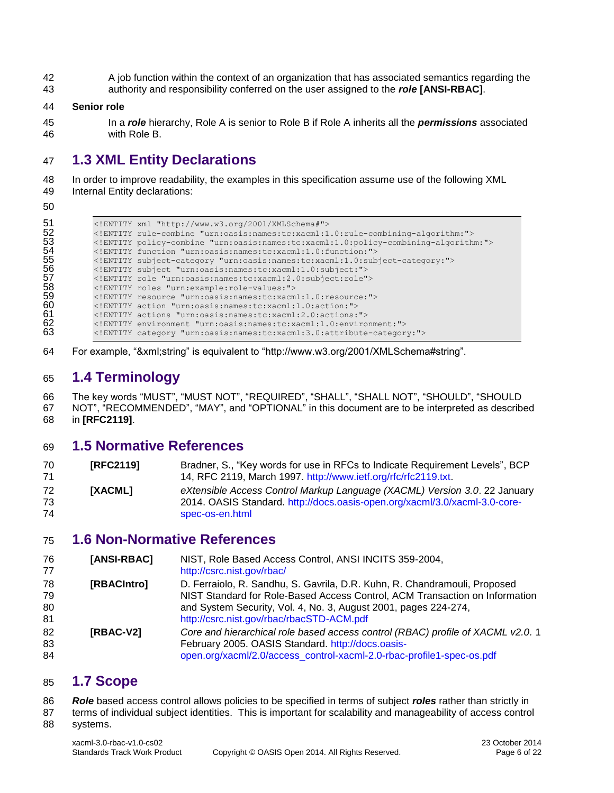A job function within the context of an organization that has associated semantics regarding the authority and responsibility conferred on the user assigned to the *role* **[\[ANSI-RBAC\]](#page-5-6)**.

#### **Senior role**

 In a *role* hierarchy, Role A is senior to Role B if Role A inherits all the *permissions* associated with Role B.

# <span id="page-5-0"></span>**1.3 XML Entity Declarations**

 In order to improve readability, the examples in this specification assume use of the following XML Internal Entity declarations:

| ENTITY policy-combine "urn:oasis:names:tc:xacml:1.0:policy-combining-algorithm:" |
|----------------------------------------------------------------------------------|

For example, "&xml;string" is equivalent to "http://www.w3.org/2001/XMLSchema#string".

## <span id="page-5-1"></span>**1.4 Terminology**

 The key words "MUST", "MUST NOT", "REQUIRED", "SHALL", "SHALL NOT", "SHOULD", "SHOULD NOT", "RECOMMENDED", "MAY", and "OPTIONAL" in this document are to be interpreted as described

in **[\[RFC2119\]](#page-5-9)**.

### <span id="page-5-2"></span>**1.5 Normative References**

<span id="page-5-9"></span><span id="page-5-5"></span>

| 70       | [RFC2119] | Bradner, S., "Key words for use in RFCs to Indicate Requirement Levels", BCP                                                                            |
|----------|-----------|---------------------------------------------------------------------------------------------------------------------------------------------------------|
|          |           | 14, RFC 2119, March 1997. http://www.ietf.org/rfc/rfc2119.txt.                                                                                          |
| 72<br>73 | [XACML]   | eXtensible Access Control Markup Language (XACML) Version 3.0. 22 January<br>2014. OASIS Standard. http://docs.oasis-open.org/xacml/3.0/xacml-3.0-core- |
| 74       |           | spec-os-en.html                                                                                                                                         |

### <span id="page-5-3"></span>**1.6 Non-Normative References**

<span id="page-5-8"></span><span id="page-5-6"></span>

| 76<br>77       | [ANSI-RBAC] | NIST, Role Based Access Control, ANSI INCITS 359-2004,<br>http://csrc.nist.gov/rbac/                                                                                                                         |
|----------------|-------------|--------------------------------------------------------------------------------------------------------------------------------------------------------------------------------------------------------------|
| 78<br>79       | [RBACIntro] | D. Ferraiolo, R. Sandhu, S. Gavrila, D.R. Kuhn, R. Chandramouli, Proposed<br>NIST Standard for Role-Based Access Control, ACM Transaction on Information                                                     |
| 80<br>81       |             | and System Security, Vol. 4, No. 3, August 2001, pages 224-274,<br>http://csrc.nist.gov/rbac/rbacSTD-ACM.pdf                                                                                                 |
| 82<br>83<br>84 | [RBAC-V2]   | Core and hierarchical role based access control (RBAC) profile of XACML v2.0.1<br>February 2005. OASIS Standard. http://docs.oasis-<br>open.org/xacml/2.0/access_control-xacml-2.0-rbac-profile1-spec-os.pdf |

### <span id="page-5-7"></span><span id="page-5-4"></span>**1.7 Scope**

*Role* based access control allows policies to be specified in terms of subject *roles* rather than strictly in

 terms of individual subject identities. This is important for scalability and manageability of access control systems.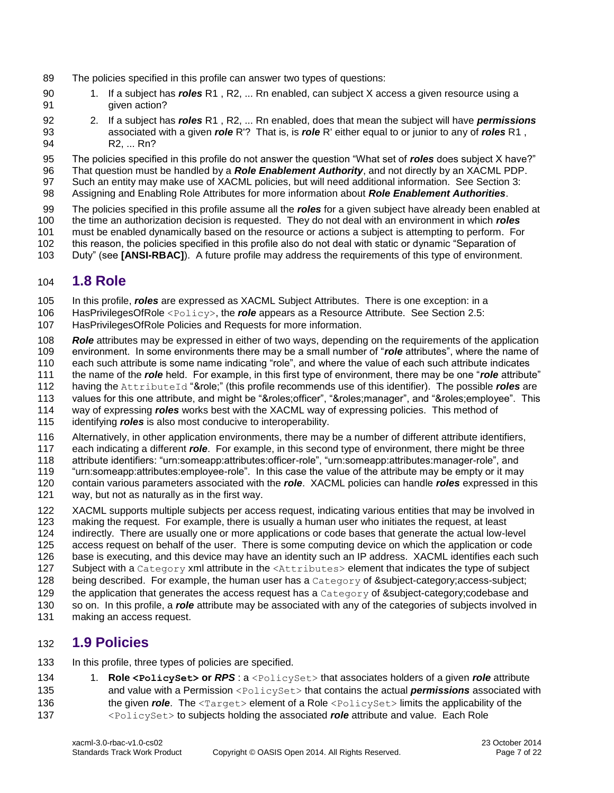- The policies specified in this profile can answer two types of questions:
- 1. If a subject has *roles* R1 , R2, ... Rn enabled, can subject X access a given resource using a given action?
- 2. If a subject has *roles* R1 , R2, ... Rn enabled, does that mean the subject will have *permissions* associated with a given *role* R'? That is, is *role* R' either equal to or junior to any of *roles* R1 , R2, ... Rn?
- The policies specified in this profile do not answer the question "What set of *roles* does subject X have?"
- That question must be handled by a *Role Enablement Authority*, and not directly by an XACML PDP.
- Such an entity may make use of XACML policies, but will need additional information. See Section 3:
- Assigning and Enabling Role Attributes for more information about *Role Enablement Authorities*.
- The policies specified in this profile assume all the *roles* for a given subject have already been enabled at the time an authorization decision is requested. They do not deal with an environment in which *roles*
- must be enabled dynamically based on the resource or actions a subject is attempting to perform. For
- this reason, the policies specified in this profile also do not deal with static or dynamic "Separation of
- Duty" (see **[\[ANSI-RBAC\]](#page-5-6)**). A future profile may address the requirements of this type of environment.

### <span id="page-6-0"></span>**1.8 Role**

In this profile, *roles* are expressed as XACML Subject Attributes. There is one exception: in a

- HasPrivilegesOfRole <Policy>, the *role* appears as a Resource Attribute. See Section [2.5:](#page-11-1)
- HasPrivilegesOfRole Policies and Requests for more information.
- *Role* attributes may be expressed in either of two ways, depending on the requirements of the application environment. In some environments there may be a small number of "*role* attributes", where the name of each such attribute is some name indicating "role", and where the value of each such attribute indicates
- the name of the *role* held. For example, in this first type of environment, there may be one "*role* attribute"
- 112 having the AttributeId "&role;" (this profile recommends use of this identifier). The possible *roles* are
- values for this one attribute, and might be "&roles;officer", "&roles;manager", and "&roles;employee". This
- way of expressing *roles* works best with the XACML way of expressing policies. This method of
- identifying *roles* is also most conducive to interoperability.
- Alternatively, in other application environments, there may be a number of different attribute identifiers,
- each indicating a different *role*. For example, in this second type of environment, there might be three
- attribute identifiers: "urn:someapp:attributes:officer-role", "urn:someapp:attributes:manager-role", and
- "urn:someapp:attributes:employee-role". In this case the value of the attribute may be empty or it may
- contain various parameters associated with the *role*. XACML policies can handle *roles* expressed in this way, but not as naturally as in the first way.
- XACML supports multiple subjects per access request, indicating various entities that may be involved in
- making the request. For example, there is usually a human user who initiates the request, at least
- indirectly. There are usually one or more applications or code bases that generate the actual low-level
- access request on behalf of the user. There is some computing device on which the application or code
- base is executing, and this device may have an identity such an IP address. XACML identifies each such
- 127 Subject with a Category xml attribute in the <Attributes> element that indicates the type of subject
- 128 being described. For example, the human user has a Category of &subject-category; access-subject;
- 129 the application that generates the access request has a Category of &subject-category;codebase and so on. In this profile, a *role* attribute may be associated with any of the categories of subjects involved in
- making an access request.

### <span id="page-6-1"></span>**1.9 Policies**

- In this profile, three types of policies are specified.
- 1. **Role <PolicySet> or** *RPS* : a <PolicySet> that associates holders of a given *role* attribute and value with a Permission <PolicySet> that contains the actual *permissions* associated with 136 the given *role*. The  $\langle \text{Target}\rangle$  element of a Role  $\langle \text{PolicySet}\rangle$  limits the applicability of the <PolicySet> to subjects holding the associated *role* attribute and value. Each Role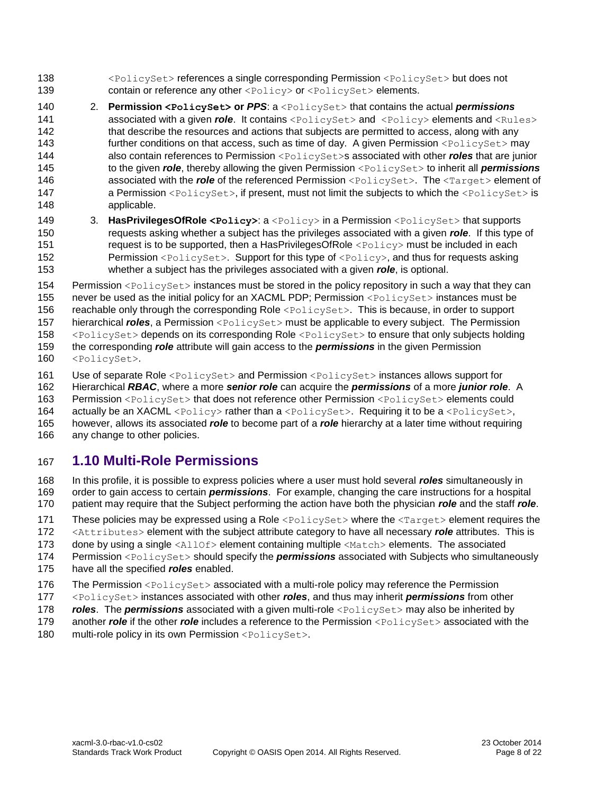- <PolicySet> references a single corresponding Permission <PolicySet> but does not 139 contain or reference any other <Policy> or <PolicySet> elements.
- 2. **Permission <PolicySet> or** *PPS*: a <PolicySet> that contains the actual *permissions* **associated with a given** *role*. It contains <PolicySet> and <Policy> elements and <Rules> 142 that describe the resources and actions that subjects are permitted to access, along with any 143 further conditions on that access, such as time of day. A given Permission <PolicySet> may also contain references to Permission <PolicySet>s associated with other *roles* that are junior to the given *role*, thereby allowing the given Permission <PolicySet> to inherit all *permissions* **associated with the** *role* of the referenced Permission <PolicySet>. The <Target> element of **a Permission** <PolicySet>, if present, must not limit the subjects to which the <PolicySet> is applicable.
- 149 3. HasPrivilegesOfRole <Policy>: a <Policy> in a Permission <PolicySet> that supports requests asking whether a subject has the privileges associated with a given *role*. If this type of 151 request is to be supported, then a HasPrivilegesOfRole <Policy> must be included in each 152 Permission <PolicySet>. Support for this type of <Policy>, and thus for requests asking whether a subject has the privileges associated with a given *role*, is optional.

 Permission <PolicySet> instances must be stored in the policy repository in such a way that they can never be used as the initial policy for an XACML PDP; Permission <PolicySet> instances must be reachable only through the corresponding Role <PolicySet>. This is because, in order to support hierarchical *roles*, a Permission <PolicySet> must be applicable to every subject. The Permission <PolicySet> depends on its corresponding Role <PolicySet> to ensure that only subjects holding the corresponding *role* attribute will gain access to the *permissions* in the given Permission <PolicySet>.

161 Use of separate Role <PolicySet> and Permission <PolicySet> instances allows support for

Hierarchical *RBAC*, where a more *senior role* can acquire the *permissions* of a more *junior role*. A

Permission <PolicySet> that does not reference other Permission <PolicySet> elements could

164 actually be an XACML <Policy> rather than a <PolicySet>. Requiring it to be a <PolicySet>,

 however, allows its associated *role* to become part of a *role* hierarchy at a later time without requiring any change to other policies.

### <span id="page-7-0"></span>**1.10 Multi-Role Permissions**

 In this profile, it is possible to express policies where a user must hold several *roles* simultaneously in order to gain access to certain *permissions*. For example, changing the care instructions for a hospital patient may require that the Subject performing the action have both the physician *role* and the staff *role*.

171 These policies may be expressed using a Role  $\leq$ PolicySet> where the  $\leq$ Target> element requires the

172 <Attributes> element with the subject attribute category to have all necessary *role* attributes. This is

173 done by using a single  $\langle \text{AllOf}\rangle$  element containing multiple  $\langle \text{Match}\rangle$  elements. The associated

Permission <PolicySet> should specify the *permissions* associated with Subjects who simultaneously

- have all the specified *roles* enabled.
- 176 The Permission <PolicySet> associated with a multi-role policy may reference the Permission
- <PolicySet> instances associated with other *roles*, and thus may inherit *permissions* from other
- *roles*. The **permissions** associated with a given multi-role <PolicySet> may also be inherited by
- 179 another *role* if the other *role* includes a reference to the Permission <PolicySet> associated with the
- 180 multi-role policy in its own Permission <PolicySet>.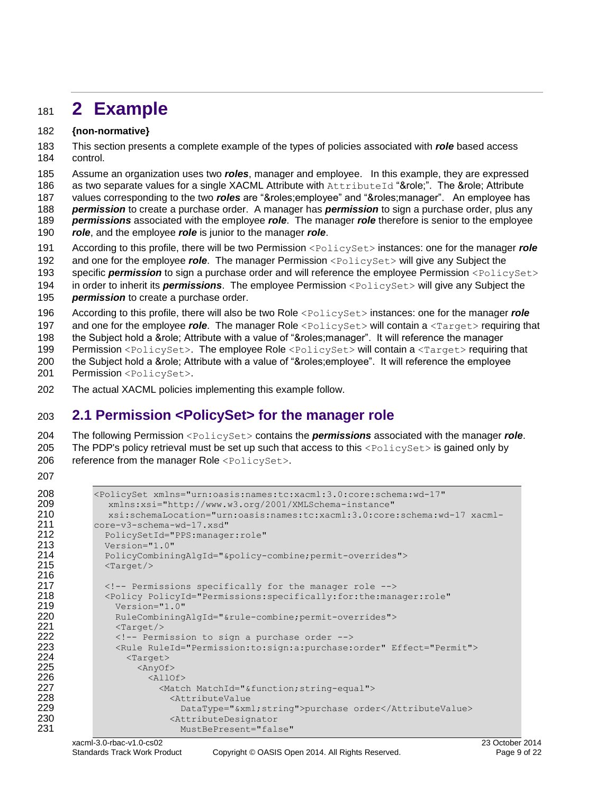# <span id="page-8-0"></span><sup>181</sup> **2 Example**

#### 182 **{non-normative}**

183 This section presents a complete example of the types of policies associated with *role* based access 184 control.

185 Assume an organization uses two *roles*, manager and employee. In this example, they are expressed 186 as two separate values for a single XACML Attribute with AttributeId "&role;". The &role; Attribute

187 values corresponding to the two *roles* are "&roles;employee" and "&roles;manager". An employee has

188 *permission* to create a purchase order. A manager has *permission* to sign a purchase order, plus any

- 189 *permissions* associated with the employee *role*. The manager *role* therefore is senior to the employee
- 190 *role*, and the employee *role* is junior to the manager *role*.

191 According to this profile, there will be two Permission <PolicySet> instances: one for the manager *role*

192 and one for the employee *role*. The manager Permission <PolicySet> will give any Subject the

193 specific **permission** to sign a purchase order and will reference the employee Permission <PolicySet> 194 in order to inherit its *permissions*. The employee Permission <PolicySet> will give any Subject the

195 *permission* to create a purchase order.

196 According to this profile, there will also be two Role <PolicySet> instances: one for the manager *role*

197 and one for the employee *role*. The manager Role <PolicySet> will contain a <Target> requiring that

198 the Subject hold a &role; Attribute with a value of "&roles;manager". It will reference the manager

199 Permission <PolicySet>. The employee Role <PolicySet> will contain a <Target> requiring that

- 200 the Subject hold a &role; Attribute with a value of "&roles;employee". It will reference the employee 201 Permission <PolicySet>.
- 202 The actual XACML policies implementing this example follow.

# <span id="page-8-1"></span>203 **2.1 Permission <PolicySet> for the manager role**

204 The following Permission <PolicySet> contains the *permissions* associated with the manager *role*. 205 The PDP's policy retrieval must be set up such that access to this  $\leq$ PolicySet> is gained only by 206 reference from the manager Role <PolicySet>.

207

```
208 <PolicySet xmlns="urn:oasis:names:tc:xacml:3.0:core:schema:wd-17"
209 xmlns:xsi="http://www.w3.org/2001/XMLSchema-instance"
210 xsi:schemaLocation="urn:oasis:names:tc:xacml:3.0:core:schema:wd-17 xacml-
211 core-v3-schema-wd-17.xsd"
212 PolicySetId="PPS:manager:role"<br>213 Version="1.0"
213 Version="1.0"<br>214 PolicyCombini
            PolicyCombiningAlgId="&policy-combine;permit-overrides">
215 <Target/>
216<br>217
            217 <!-- Permissions specifically for the manager role -->
218 <Policy PolicyId="Permissions:specifically:for:the:manager:role"
219 Version="1.0"<br>220 RuleCombining
220 RuleCombiningAlgId="&rule-combine;permit-overrides"><br>221 <Target/>
221 <Target/><br>222 <target/>
              \langle -- Permission to sign a purchase order -->
223 <Rule RuleId="Permission:to:sign:a:purchase:order" Effect="Permit">
224 <Target><br>225 <AnyOf:
                  \langleAnyOf>
226 <allof><br>227 <allof>
                      <Match MatchId="&function;string-equal">
228 <attributeValue>
229 DataType="&xml;string">purchase order</AttributeValue><br>230 AttributeDesignator
                        <AttributeDesignator
231 MustBePresent="false"
```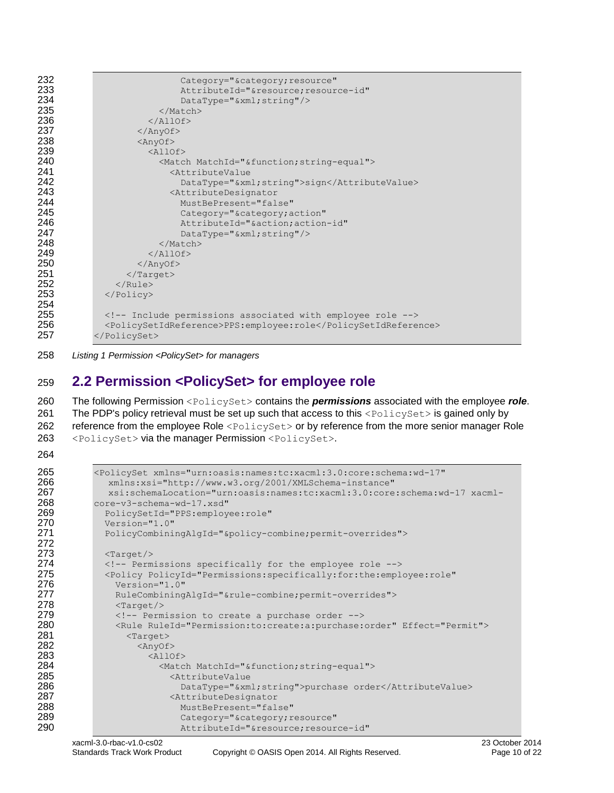| Category="&category resource"                                  |  |  |
|----------------------------------------------------------------|--|--|
| AttributeId="&resource resource-id"                            |  |  |
| $DataType="sxml;string"/>$                                     |  |  |
| $\langle$ /Match>                                              |  |  |
| $\langle$ /AllOf>                                              |  |  |
| $\langle$ /AnyOf>                                              |  |  |
| $\langle$ AnyOf>                                               |  |  |
| $\langle \text{AllOf} \rangle$                                 |  |  |
| <match matchid="&amp;function; string-equal"></match>          |  |  |
| <attributevalue< th=""></attributevalue<>                      |  |  |
| DataType="&xml string">sign                                    |  |  |
| <attributedesignator< th=""></attributedesignator<>            |  |  |
| MustBePresent="false"                                          |  |  |
| Category="&category action"                                    |  |  |
| AttributeId="&action action-id"                                |  |  |
| $DataType="sxml;string"/>$                                     |  |  |
| $\langle$ /Match>                                              |  |  |
| $\langle$ /AllOf>                                              |  |  |
| $\langle$ /AnyOf>                                              |  |  |
| $\langle$ Target>                                              |  |  |
| $\langle$ /Rule>                                               |  |  |
|                                                                |  |  |
|                                                                |  |  |
| Include permissions associated with employee role              |  |  |
| <policysetidreference>PPS:employee:role</policysetidreference> |  |  |
|                                                                |  |  |
|                                                                |  |  |

*Listing 1 Permission <PolicySet> for managers*

# <span id="page-9-0"></span>**2.2 Permission <PolicySet> for employee role**

 The following Permission <PolicySet> contains the *permissions* associated with the employee *role*. 261 The PDP's policy retrieval must be set up such that access to this <PolicySet> is gained only by 262 reference from the employee Role <PolicySet> or by reference from the more senior manager Role <PolicySet> via the manager Permission <PolicySet>.

```
265 <PolicySet xmlns="urn:oasis:names:tc:xacml:3.0:core:schema:wd-17"
               266 xmlns:xsi="http://www.w3.org/2001/XMLSchema-instance"
267 xsi:schemaLocation="urn:oasis:names:tc:xacml:3.0:core:schema:wd-17 xacml-
268 core-v3-schema-wd-17.xsd"<br>269 PolicySetId="PPS:employ
              269 PolicySetId="PPS:employee:role"
270 Version="1.0"
271 PolicyCombiningAlgId="&policy-combine;permit-overrides">
272
273 <Target/>
274 <Target/>
274 <Target/>
274 <Target/>
274 <Target/>
274 <Target/
              274 <!-- Permissions specifically for the employee role -->
275 <Policy PolicyId="Permissions:specifically:for:the:employee:role"
276 Version="1.0"<br>277 RuleCombining
                277 RuleCombiningAlgId="&rule-combine;permit-overrides">
278 <Target/>
279 \langle -- Permission to create a purchase order -->
280 <Rule RuleId="Permission:to:create:a:purchase:order" Effect="Permit">
281 <Target><br>282 <AnyOf:
                     \langleAnyOf>
283 <allof><br>284 <allof>
284 <Match MatchId="&function;string-equal"><br>285 <AttributeValue
285 <AttributeValue
                               DataType="&xml;string">purchase order</AttributeValue>
287 <abu<br/>abuteDesignator</a></a>AttributeDesignator</a></a>AttributeDesignator</a></a>AttributeDesignator</a></a>AttributeDesignator</a></a>AttributeDesignator</a></a>AttributeDesignator</a></a>AttributeDesignator</a><
288 MustBePresent="false"<br>289 Category="&category;r
289 Category="&category;resource"
                               AttributeId="&resource;resource-id"
```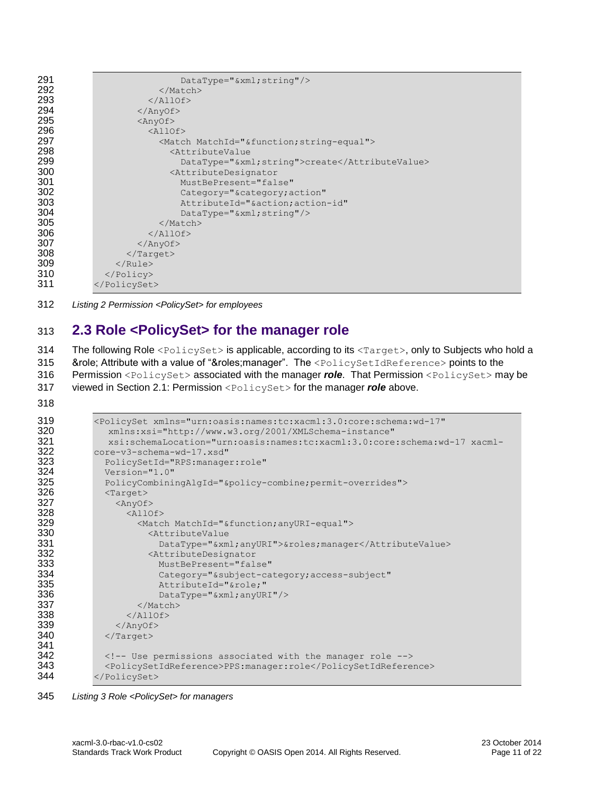| 291 | $DataType="sxml;string"/>$                              |  |  |
|-----|---------------------------------------------------------|--|--|
| 292 | $\langle$ /Match>                                       |  |  |
| 293 | $\langle$ /AllOf>                                       |  |  |
| 294 | $\langle$ /AnyOf>                                       |  |  |
| 295 | $\langle$ AnyOf>                                        |  |  |
| 296 | $\langle \text{AllOf} \rangle$                          |  |  |
| 297 | <match matchid="&amp;function; string-equal"></match>   |  |  |
| 298 | <attributevalue< th=""></attributevalue<>               |  |  |
| 299 | DataType="&xml string">create                           |  |  |
| 300 | <attributedesignator< th=""></attributedesignator<>     |  |  |
| 301 | MustBePresent="false"                                   |  |  |
| 302 | Category="&category action"                             |  |  |
| 303 | AttributeId="&action action-id"                         |  |  |
| 304 | $\texttt{DataType} = "& \texttt{xml}; \texttt{string"}$ |  |  |
| 305 | $\langle$ /Match>                                       |  |  |
| 306 | $\langle$ /AllOf>                                       |  |  |
| 307 | $\langle$ /AnyOf>                                       |  |  |
| 308 | $\langle$ Target>                                       |  |  |
| 309 | $\langle$ /Rule>                                        |  |  |
| 310 | $\langle$ /Policy>                                      |  |  |
| 311 |                                                         |  |  |

*Listing 2 Permission <PolicySet> for employees*

# <span id="page-10-0"></span>**2.3 Role <PolicySet> for the manager role**

314 The following Role <PolicySet> is applicable, according to its <Target>, only to Subjects who hold a 315 &role; Attribute with a value of "&roles;manager". The <PolicySetIdReference> points to the Permission <PolicySet> associated with the manager *role*. That Permission <PolicySet> may be viewed in Section [2.1:](#page-8-1) Permission <PolicySet> for the manager *role* above.

| 319 | <policyset <="" th="" xmlns="urn:oasis:names:tc:xacml:3.0:core:schema:wd-17"></policyset> |
|-----|-------------------------------------------------------------------------------------------|
| 320 | xmlns:xsi="http://www.w3.org/2001/XMLSchema-instance"                                     |
| 321 | xsi:schemaLocation="urn:oasis:names:tc:xacml:3.0:core:schema:wd-17 xacml-                 |
| 322 | core-v3-schema-wd-17.xsd"                                                                 |
| 323 | PolicySetId="RPS:manager:role"                                                            |
| 324 | Version="1.0"                                                                             |
| 325 | PolicyCombiningAlgId="&policy-combinepermit-overrides">                                   |
| 326 | $\langle Target \rangle$                                                                  |
| 327 | $\langle \text{AnyOf} \rangle$                                                            |
| 328 | $<$ AllOf>                                                                                |
| 329 | <match matchid="&amp;function; anyURI-equal"></match>                                     |
| 330 | <attributevalue< th=""></attributevalue<>                                                 |
| 331 | DataType="&xmlanyURI">&rolesmanager                                                       |
| 332 | <attributedesignator< th=""></attributedesignator<>                                       |
| 333 | MustBePresent="false"                                                                     |
| 334 | Category="&subject-category access-subject"                                               |
| 335 | AttributeId="&role"                                                                       |
| 336 | $DataType="sxml; anyURI"/$                                                                |
| 337 | $\langle$ /Match>                                                                         |
| 338 | $\langle$ /AllOf>                                                                         |
| 339 | $\langle$ /AnyOf>                                                                         |
| 340 | $\langle$ Target>                                                                         |
| 341 |                                                                                           |
| 342 | Use permissions associated with the manager role                                          |
| 343 | <policysetidreference>PPS:manager:role</policysetidreference>                             |
| 344 |                                                                                           |
|     |                                                                                           |

*Listing 3 Role <PolicySet> for managers*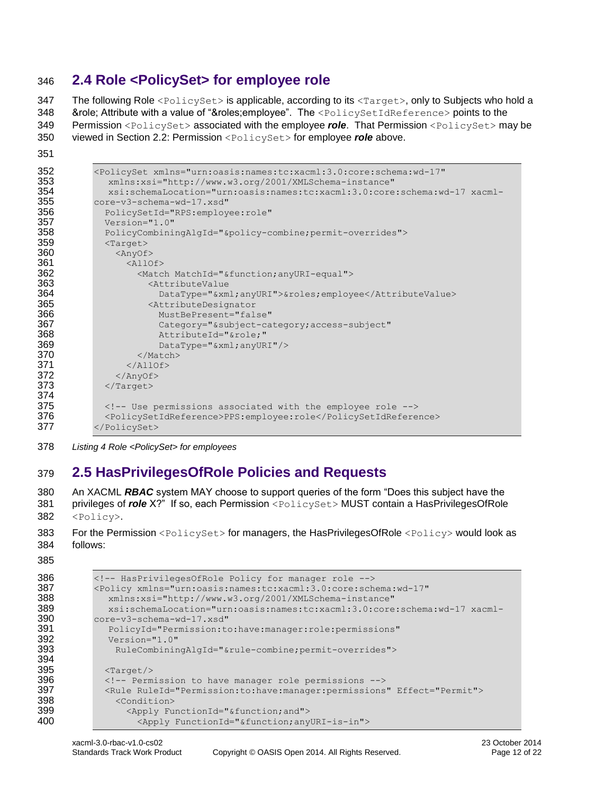# <span id="page-11-0"></span>346 **2.4 Role <PolicySet> for employee role**

347 The following Role <PolicySet> is applicable, according to its <Target>, only to Subjects who hold a 348 &role; Attribute with a value of "&roles; employee". The <PolicySetIdReference> points to the 349 Permission <PolicySet> associated with the employee *role*. That Permission <PolicySet> may be

- 350 viewed in Section [2.2:](#page-9-0) Permission <PolicySet> for employee *role* above.
- 351

```
352 <PolicySet xmlns="urn:oasis:names:tc:xacml:3.0:core:schema:wd-17"
353 xmlns:xsi="http://www.w3.org/2001/XMLSchema-instance"
             354 xsi:schemaLocation="urn:oasis:names:tc:xacml:3.0:core:schema:wd-17 xacml-
355 core-v3-schema-wd-17.xsd"
356 PolicySetId="RPS:employee:role"<br>357 Version="1.0"
            Version="1.0"
358 PolicyCombiningAlgId="&policy-combine;permit-overrides">
            <Target>360 <AnyOf><br>361 <AnyOf>
361 <allof><br>362 <allof>
                  362 <Match MatchId="&function;anyURI-equal">
363 <AttributeValue<br/>
S64 DataType="&xm
                      364 DataType="&xml;anyURI">&roles;employee</AttributeValue>
365 <AttributeDesignator
366 MustBePresent="false"<br>367 Category="&subject-ca
                      Category="&subject-category;access-subject"
368 AttributeId="&role;"<br>369 DataType="&xml:anvUR
                      DataType="&xml;anyURI"/>
370 </Match>
371 \langleAllOf><br>372 \langleAnyOf>
              \langleAnyOf>
373 </Target>
374
375 <!-- Use permissions associated with the employee role -->
376 <PolicySetIdReference>PPS:employee:role</PolicySetIdReference>
          </PolicySet>
```
378 *Listing 4 Role <PolicySet> for employees*

# <span id="page-11-1"></span>379 **2.5 HasPrivilegesOfRole Policies and Requests**

380 An XACML *RBAC* system MAY choose to support queries of the form "Does this subject have the 381 privileges of *role* X?" If so, each Permission <PolicySet> MUST contain a HasPrivilegesOfRole 382 <Policy>.

```
383 For the Permission <PolicySet> for managers, the HasPrivilegesOfRole <Policy> would look as
384 follows:
```
385

```
386 <!-- HasPrivilegesOfRole Policy for manager role --><br>387 < >>>>> <Policy xmlns="urn:oasis:names:tc:xacml:3.0:core:sch
            387 <Policy xmlns="urn:oasis:names:tc:xacml:3.0:core:schema:wd-17"
388 xmlns:xsi="http://www.w3.org/2001/XMLSchema-instance"
389 xsi:schemaLocation="urn:oasis:names:tc:xacml:3.0:core:schema:wd-17 xacml-
             390 core-v3-schema-wd-17.xsd"
391 PolicyId="Permission:to:have:manager:role:permissions"
392 Version="1.0"
                 393 RuleCombiningAlgId="&rule-combine;permit-overrides">
394<br>395
               \frac{2T}{3}396 <!-- Permission to have manager role permissions -->
397 <Rule RuleId="Permission:to:have:manager:permissions" Effect="Permit"><br>398 <condition>
                 <Condition>
399 \langle \text{Apply FunctionId} = " \& \text{function;} \text{and"} \rangle<br>400 \langle \text{Apply FunctionId} = " \& \text{function;} \text{any} \rangle400 <Apply FunctionId="&function;anyURI-is-in">
```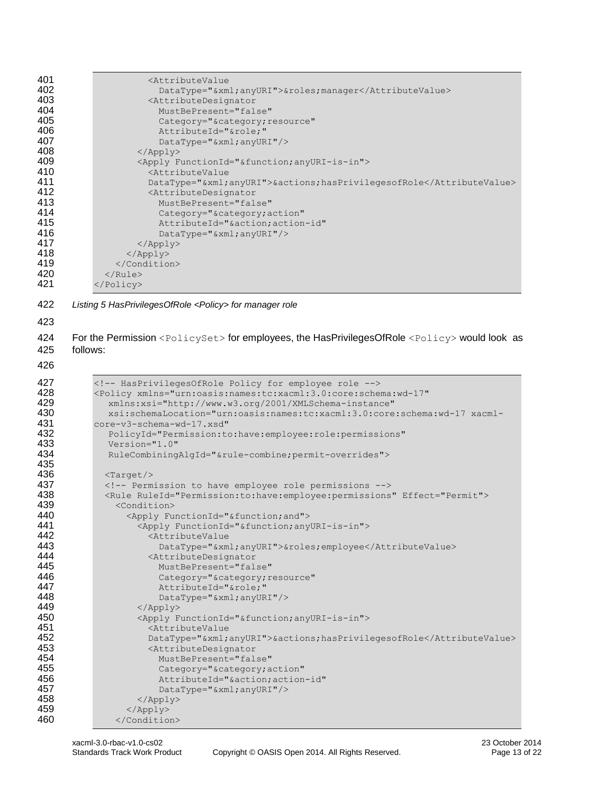| 401                                                  | <attributevalue< th=""></attributevalue<>                                                                                                                                                                                                                                                                                                             |
|------------------------------------------------------|-------------------------------------------------------------------------------------------------------------------------------------------------------------------------------------------------------------------------------------------------------------------------------------------------------------------------------------------------------|
| 402                                                  | DataType="&xmlanyURI">&rolesmanager                                                                                                                                                                                                                                                                                                                   |
| 403                                                  | <attributedesignator< td=""></attributedesignator<>                                                                                                                                                                                                                                                                                                   |
| 404                                                  | MustBePresent="false"                                                                                                                                                                                                                                                                                                                                 |
| 405                                                  | Category="&category resource"                                                                                                                                                                                                                                                                                                                         |
| 406                                                  | AttributeId="&role"                                                                                                                                                                                                                                                                                                                                   |
| 407                                                  | DataType="&xml anyURI"/>                                                                                                                                                                                                                                                                                                                              |
| 408                                                  | $\langle \text{Apply} \rangle$                                                                                                                                                                                                                                                                                                                        |
| 409                                                  | <apply functionid="&amp;function; anyURI-is-in"></apply>                                                                                                                                                                                                                                                                                              |
| 410                                                  | <attributevalue< td=""></attributevalue<>                                                                                                                                                                                                                                                                                                             |
| 411                                                  | DataType="&xmlanyURI">&actionshasPrivilegesofRole                                                                                                                                                                                                                                                                                                     |
| 412                                                  | <attributedesignator< td=""></attributedesignator<>                                                                                                                                                                                                                                                                                                   |
| 413                                                  | MustBePresent="false"                                                                                                                                                                                                                                                                                                                                 |
| 414                                                  | Category="&category action"                                                                                                                                                                                                                                                                                                                           |
| 415                                                  | AttributeId="&action action-id"                                                                                                                                                                                                                                                                                                                       |
| 416                                                  | $DataType="sxml; anyURI"/$                                                                                                                                                                                                                                                                                                                            |
| 417                                                  | $\langle \text{Apply} \rangle$                                                                                                                                                                                                                                                                                                                        |
| 418                                                  |                                                                                                                                                                                                                                                                                                                                                       |
| 419                                                  |                                                                                                                                                                                                                                                                                                                                                       |
| 420                                                  | $\langle$ /Rule>                                                                                                                                                                                                                                                                                                                                      |
| 421                                                  | $\langle$ /Policy>                                                                                                                                                                                                                                                                                                                                    |
| 422<br>423<br>424<br>425<br>426                      | Listing 5 HasPrivilegesOfRole <policy> for manager role<br/>For the Permission <policyset> for employees, the HasPrivilegesOfRole <policy> would look as<br/>follows:</policy></policyset></policy>                                                                                                                                                   |
| 427                                                  | HasPrivilegesOfRole Policy for employee role                                                                                                                                                                                                                                                                                                          |
| 428                                                  | <policy <="" td="" xmlns="urn:oasis:names:tc:xacml:3.0:core:schema:wd-17"></policy>                                                                                                                                                                                                                                                                   |
| 429                                                  | xmlns:xsi="http://www.w3.org/2001/XMLSchema-instance"                                                                                                                                                                                                                                                                                                 |
| 430                                                  | xsi:schemaLocation="urn:oasis:names:tc:xacml:3.0:core:schema:wd-17 xacml-                                                                                                                                                                                                                                                                             |
| 431                                                  | core-v3-schema-wd-17.xsd"                                                                                                                                                                                                                                                                                                                             |
| 432                                                  | PolicyId="Permission:to:have:employee:role:permissions"                                                                                                                                                                                                                                                                                               |
| 433                                                  | Version="1.0"                                                                                                                                                                                                                                                                                                                                         |
| 434                                                  | RuleCombiningAlgId="&rule-combinepermit-overrides">                                                                                                                                                                                                                                                                                                   |
| 435<br>436<br>437<br>438<br>439<br>440<br>441<br>442 | $\langle Target \rangle$<br>Permission to have employee role permissions<br><rule effect="Permit" ruleid="Permission:to:have:employee:permissions"><br/><condition><br/><apply functionid="&amp;function; and"><br/><apply functionid="&amp;function; anyURI-is-in"><br/><attributevalue< th=""></attributevalue<></apply></apply></condition></rule> |
| 443                                                  | DataType="&xml anyURI">&roles employee                                                                                                                                                                                                                                                                                                                |
| 444                                                  | <attributedesignator< td=""></attributedesignator<>                                                                                                                                                                                                                                                                                                   |
| 445                                                  | MustBePresent="false"                                                                                                                                                                                                                                                                                                                                 |
| 446                                                  | Category="&category resource"                                                                                                                                                                                                                                                                                                                         |
| 447                                                  | AttributeId="&role"                                                                                                                                                                                                                                                                                                                                   |
| 448                                                  | DataType="&xml anyURI"/>                                                                                                                                                                                                                                                                                                                              |
| 449                                                  | $\langle \text{Apply} \rangle$                                                                                                                                                                                                                                                                                                                        |
| 450                                                  | <apply functionid="&amp;function; anyURI-is-in"></apply>                                                                                                                                                                                                                                                                                              |
| 451                                                  | <attributevalue< td=""></attributevalue<>                                                                                                                                                                                                                                                                                                             |
| 452                                                  | DataType="&xmlanyURI">&actionshasPrivilegesofRole                                                                                                                                                                                                                                                                                                     |
| 453                                                  | <attributedesignator< td=""></attributedesignator<>                                                                                                                                                                                                                                                                                                   |
| 454                                                  | MustBePresent="false"                                                                                                                                                                                                                                                                                                                                 |
| 455                                                  | Category="&category action"                                                                                                                                                                                                                                                                                                                           |
| 456                                                  | AttributeId="&action action-id"                                                                                                                                                                                                                                                                                                                       |
| 457                                                  | DataType="&xml anyURI"/>                                                                                                                                                                                                                                                                                                                              |
| 458                                                  | $\langle \text{Apply} \rangle$                                                                                                                                                                                                                                                                                                                        |
| 459                                                  | $\langle$ /Apply>                                                                                                                                                                                                                                                                                                                                     |
| 460                                                  |                                                                                                                                                                                                                                                                                                                                                       |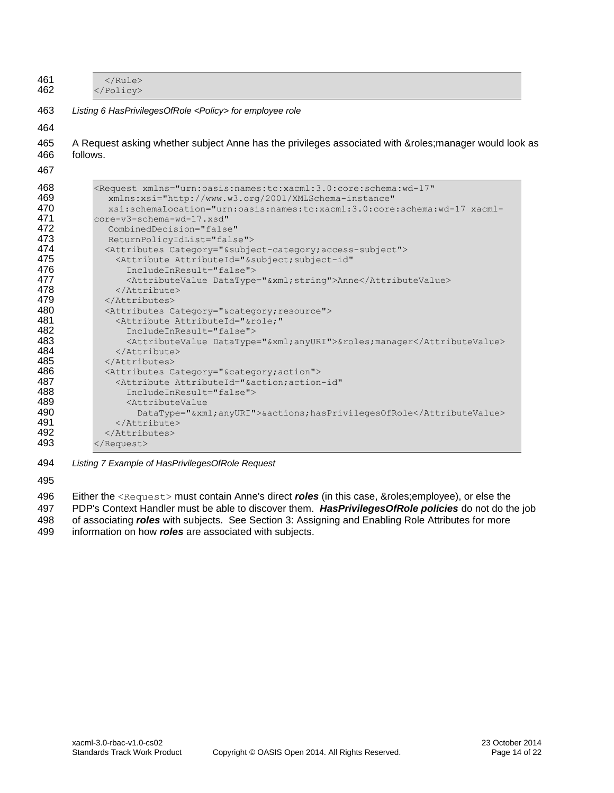| 461<br>$\langle$ /Rule><br>462<br> |                                                                                                       |  |  |  |
|------------------------------------|-------------------------------------------------------------------------------------------------------|--|--|--|
|                                    | Listing 6 HasPrivilegesOfRole <policy> for employee role</policy>                                     |  |  |  |
|                                    |                                                                                                       |  |  |  |
|                                    | A Request asking whether subject Anne has the privileges associated with &roles manager would look as |  |  |  |
|                                    | follows.                                                                                              |  |  |  |
|                                    |                                                                                                       |  |  |  |
|                                    | <request <="" td="" xmlns="urn:oasis:names:tc:xacml:3.0:core:schema:wd-17"></request>                 |  |  |  |
|                                    | xmlns:xsi="http://www.w3.org/2001/XMLSchema-instance"                                                 |  |  |  |
|                                    | xsi:schemaLocation="urn:oasis:names:tc:xacml:3.0:core:schema:wd-17 xacml-                             |  |  |  |
|                                    | core-v3-schema-wd-17.xsd"                                                                             |  |  |  |
|                                    | CombinedDecision="false"                                                                              |  |  |  |
|                                    | ReturnPolicyIdList="false">                                                                           |  |  |  |
|                                    | <attributes category="&amp;subject-category; access-subject"></attributes>                            |  |  |  |
|                                    | <attribute <="" attributeid="&amp;subject; subject-id" td=""></attribute>                             |  |  |  |
|                                    | IncludeInResult="false">                                                                              |  |  |  |
|                                    | <attributevalue datatype="&amp;xml; string">Anne</attributevalue>                                     |  |  |  |
|                                    | $\langle$ /Attribute>                                                                                 |  |  |  |
|                                    | $\langle$ /Attributes>                                                                                |  |  |  |
|                                    | <attributes category="&amp;category; resource"></attributes>                                          |  |  |  |
|                                    | <attribute <="" attributeid="&amp;role;" td=""></attribute>                                           |  |  |  |
|                                    | IncludeInResult="false">                                                                              |  |  |  |
|                                    | <attributevalue datatype="&amp;xml;anyURI">&amp;rolesmanager</attributevalue>                         |  |  |  |
|                                    | $\langle$ /Attribute>                                                                                 |  |  |  |
|                                    | $\langle$ /Attributes>                                                                                |  |  |  |
|                                    | <attributes category="&amp;category; action"></attributes>                                            |  |  |  |
|                                    | <attribute <="" attributeid="&amp;action; action-id" td=""></attribute>                               |  |  |  |
|                                    | IncludeInResult="false">                                                                              |  |  |  |
|                                    | <attributevalue< td=""></attributevalue<>                                                             |  |  |  |
|                                    | DataType="&xmlanyURI">&actionshasPrivilegesOfRole                                                     |  |  |  |
|                                    |                                                                                                       |  |  |  |
|                                    |                                                                                                       |  |  |  |
|                                    |                                                                                                       |  |  |  |

494 *Listing 7 Example of HasPrivilegesOfRole Request*

495

496 Either the <Request> must contain Anne's direct *roles* (in this case, &roles;employee), or else the

497 PDP's Context Handler must be able to discover them. **HasPrivilegesOfRole policies** do not do the job<br>498 of associating **roles** with subjects. See Section 3: Assigning and Enabling Role Attributes for more

498 of associating *roles* with subjects. See Section [3:](#page-14-0) Assigning and Enabling Role Attributes for more 499 information on how *roles* are associated with subjects.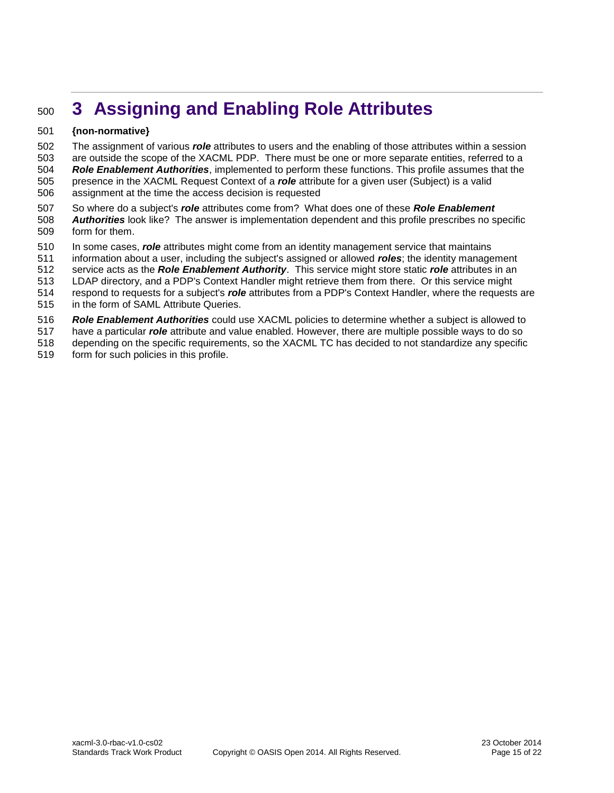# <span id="page-14-0"></span>**3 Assigning and Enabling Role Attributes**

#### **{non-normative}**

 The assignment of various *role* attributes to users and the enabling of those attributes within a session are outside the scope of the XACML PDP. There must be one or more separate entities, referred to a *Role Enablement Authorities*, implemented to perform these functions. This profile assumes that the presence in the XACML Request Context of a *role* attribute for a given user (Subject) is a valid assignment at the time the access decision is requested

- So where do a subject's *role* attributes come from? What does one of these *Role Enablement Authorities* look like? The answer is implementation dependent and this profile prescribes no specific form for them.
- In some cases, *role* attributes might come from an identity management service that maintains
- information about a user, including the subject's assigned or allowed *roles*; the identity management
- service acts as the *Role Enablement Authority*. This service might store static *role* attributes in an
- LDAP directory, and a PDP's Context Handler might retrieve them from there. Or this service might
- respond to requests for a subject's *role* attributes from a PDP's Context Handler, where the requests are
- in the form of SAML Attribute Queries.
- *Role Enablement Authorities* could use XACML policies to determine whether a subject is allowed to
- have a particular *role* attribute and value enabled. However, there are multiple possible ways to do so
- depending on the specific requirements, so the XACML TC has decided to not standardize any specific form for such policies in this profile.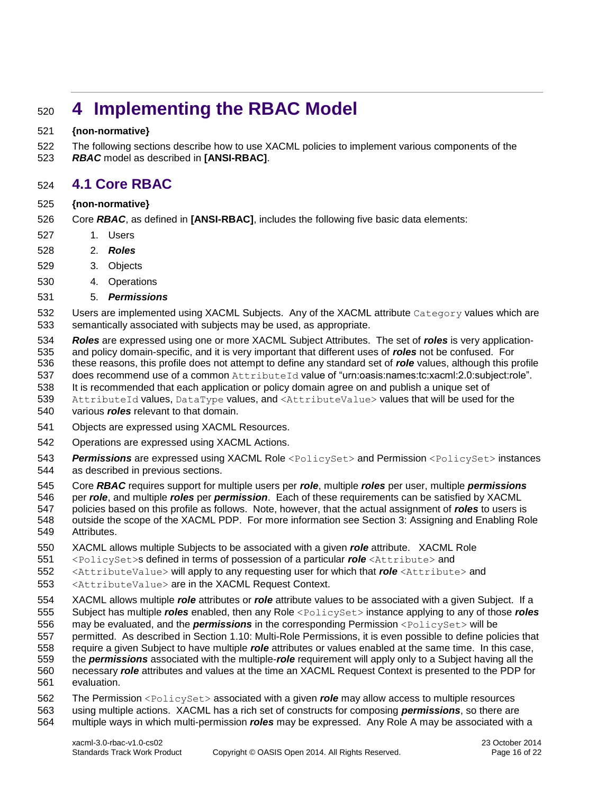# <span id="page-15-0"></span>**4 Implementing the RBAC Model**

#### **{non-normative}**

 The following sections describe how to use XACML policies to implement various components of the *RBAC* model as described in **[\[ANSI-RBAC\]](#page-5-6)**.

### <span id="page-15-1"></span>**4.1 Core RBAC**

#### **{non-normative}**

- Core *RBAC*, as defined in **[\[ANSI-RBAC\]](#page-5-6)**, includes the following five basic data elements:
- 1. Users
- 2. *Roles*
- 3. Objects
- 4. Operations
- 5. *Permissions*
- 532 Users are implemented using XACML Subjects. Any of the XACML attribute Category values which are semantically associated with subjects may be used, as appropriate.
- *Roles* are expressed using one or more XACML Subject Attributes. The set of *roles* is very application-and policy domain-specific, and it is very important that different uses of *roles* not be confused. For
- these reasons, this profile does not attempt to define any standard set of *role* values, although this profile
- 537 does recommend use of a common AttributeId value of "urn:oasis:names:tc:xacml:2.0:subject:role".
- It is recommended that each application or policy domain agree on and publish a unique set of
- 539 AttributeId values, DataType values, and <AttributeValue> values that will be used for the various *roles* relevant to that domain.
- Objects are expressed using XACML Resources.
- Operations are expressed using XACML Actions.
- *Permissions* are expressed using XACML Role <PolicySet> and Permission <PolicySet> instances
- as described in previous sections.
- Core *RBAC* requires support for multiple users per *role*, multiple *roles* per user, multiple *permissions*
- per *role*, and multiple *roles* per *permission*. Each of these requirements can be satisfied by XACML
- policies based on this profile as follows. Note, however, that the actual assignment of *roles* to users is outside the scope of the XACML PDP. For more information see Section [3:](#page-14-0) Assigning and Enabling Role
- Attributes.
- XACML allows multiple Subjects to be associated with a given *role* attribute. XACML Role
- <PolicySet>s defined in terms of possession of a particular *role* <Attribute> and
- <AttributeValue> will apply to any requesting user for which that *role* <Attribute> and
- <AttributeValue> are in the XACML Request Context.
- XACML allows multiple *role* attributes or *role* attribute values to be associated with a given Subject. If a
- Subject has multiple *roles* enabled, then any Role <PolicySet> instance applying to any of those *roles*
- may be evaluated, and the *permissions* in the corresponding Permission <PolicySet> will be
- permitted. As described in Section [1.10:](#page-7-0) Multi-Role Permissions, it is even possible to define policies that
- require a given Subject to have multiple *role* attributes or values enabled at the same time. In this case,
- the *permissions* associated with the multiple-*role* requirement will apply only to a Subject having all the
- necessary *role* attributes and values at the time an XACML Request Context is presented to the PDP for evaluation.
- The Permission <PolicySet> associated with a given *role* may allow access to multiple resources using multiple actions. XACML has a rich set of constructs for composing *permissions*, so there are multiple ways in which multi-permission *roles* may be expressed. Any Role A may be associated with a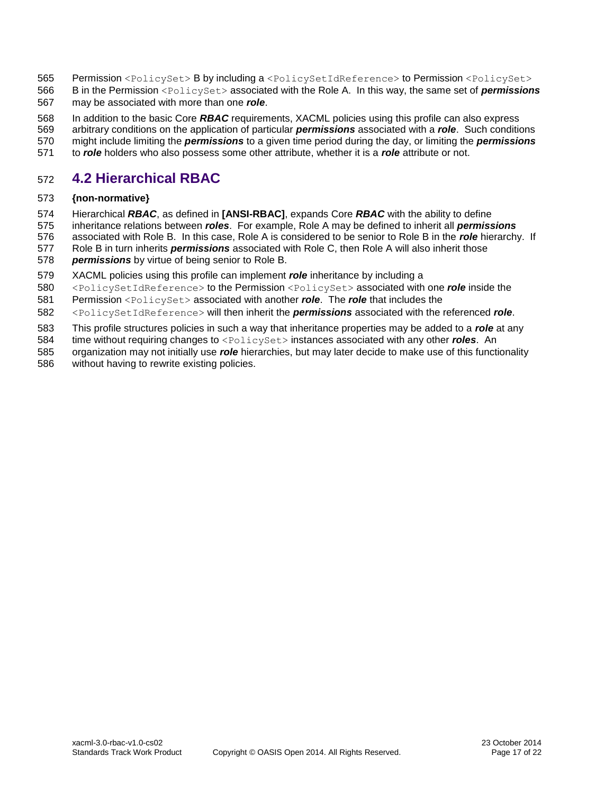- 565 Permission <PolicySet> B by including a <PolicySetIdReference> to Permission <PolicySet>
- B in the Permission <PolicySet> associated with the Role A. In this way, the same set of *permissions* may be associated with more than one *role*.
- In addition to the basic Core *RBAC* requirements, XACML policies using this profile can also express
- arbitrary conditions on the application of particular *permissions* associated with a *role*. Such conditions
- might include limiting the *permissions* to a given time period during the day, or limiting the *permissions*
- to *role* holders who also possess some other attribute, whether it is a *role* attribute or not.

# <span id="page-16-0"></span>**4.2 Hierarchical RBAC**

#### **{non-normative}**

- Hierarchical *RBAC*, as defined in **[\[ANSI-RBAC\]](#page-5-6)**, expands Core *RBAC* with the ability to define
- inheritance relations between *roles*. For example, Role A may be defined to inherit all *permissions*
- associated with Role B. In this case, Role A is considered to be senior to Role B in the *role* hierarchy. If
- Role B in turn inherits *permissions* associated with Role C, then Role A will also inherit those *permissions* by virtue of being senior to Role B.
- XACML policies using this profile can implement *role* inheritance by including a
- <PolicySetIdReference> to the Permission <PolicySet> associated with one *role* inside the
- Permission <PolicySet> associated with another *role*. The *role* that includes the
- <PolicySetIdReference> will then inherit the *permissions* associated with the referenced *role*.
- This profile structures policies in such a way that inheritance properties may be added to a *role* at any
- time without requiring changes to <PolicySet> instances associated with any other *roles*. An
- organization may not initially use *role* hierarchies, but may later decide to make use of this functionality without having to rewrite existing policies.
-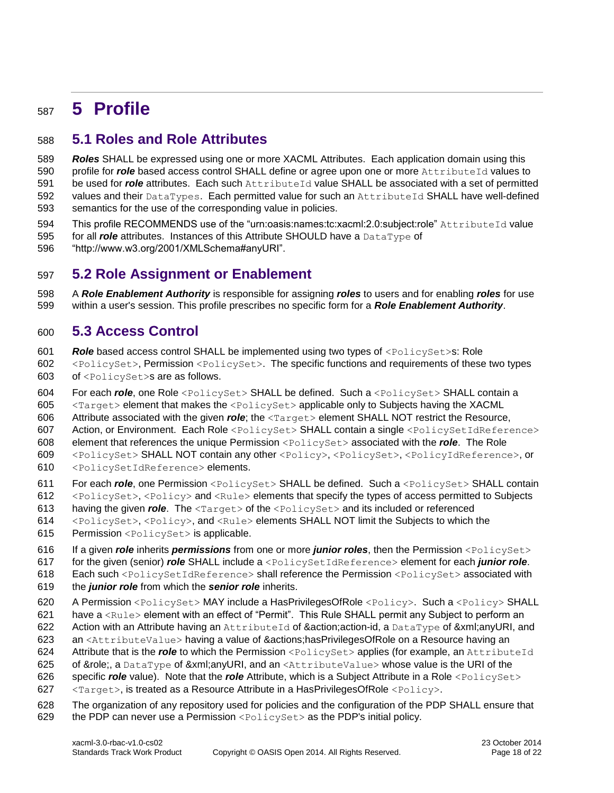# <span id="page-17-0"></span>**5 Profile**

# <span id="page-17-1"></span>**5.1 Roles and Role Attributes**

 *Roles* SHALL be expressed using one or more XACML Attributes. Each application domain using this 590 profile for *role* based access control SHALL define or agree upon one or more AttributeId values to be used for *role* attributes. Each such AttributeId value SHALL be associated with a set of permitted 592 values and their DataTypes. Each permitted value for such an AttributeId SHALL have well-defined semantics for the use of the corresponding value in policies.

- 594 This profile RECOMMENDS use of the "urn:oasis:names:tc:xacml:2.0:subject:role" AttributeId value
- for all *role* attributes. Instances of this Attribute SHOULD have a DataType of
- "http://www.w3.org/2001/XMLSchema#anyURI".

# <span id="page-17-2"></span>**5.2 Role Assignment or Enablement**

 A *Role Enablement Authority* is responsible for assigning *roles* to users and for enabling *roles* for use within a user's session. This profile prescribes no specific form for a *Role Enablement Authority*.

## <span id="page-17-3"></span>**5.3 Access Control**

 *Role* based access control SHALL be implemented using two types of <PolicySet>s: Role <PolicySet>, Permission <PolicySet>. The specific functions and requirements of these two types of <PolicySet>s are as follows.

604 For each *role*, one Role <PolicySet> SHALL be defined. Such a <PolicySet> SHALL contain a

<Target> element that makes the <PolicySet> applicable only to Subjects having the XACML

- Attribute associated with the given *role*; the <Target> element SHALL NOT restrict the Resource,
- Action, or Environment. Each Role <PolicySet> SHALL contain a single <PolicySetIdReference>
- element that references the unique Permission <PolicySet> associated with the *role*. The Role
- <PolicySet> SHALL NOT contain any other <Policy>, <PolicySet>, <PolicyIdReference>, or <PolicySetIdReference> elements.
- 611 For each *role*, one Permission <PolicySet> SHALL be defined. Such a <PolicySet> SHALL contain
- <PolicySet>, <Policy> and <Rule> elements that specify the types of access permitted to Subjects
- 613 having the given *role*. The <Target> of the <PolicySet> and its included or referenced
- <PolicySet>, <Policy>, and <Rule> elements SHALL NOT limit the Subjects to which the
- 615 Permission <PolicySet> is applicable.
- If a given *role* inherits *permissions* from one or more *junior roles*, then the Permission <PolicySet>
- for the given (senior) *role* SHALL include a <PolicySetIdReference> element for each *junior role*.
- 618 Each such <PolicySetIdReference> shall reference the Permission <PolicySet> associated with
- the *junior role* from which the *senior role* inherits.
- A Permission <PolicySet> MAY include a HasPrivilegesOfRole <Policy>. Such a <Policy> SHALL
- have a <Rule> element with an effect of "Permit". This Rule SHALL permit any Subject to perform an
- 622 Action with an Attribute having an AttributeId of &action;action-id, a DataType of &xml;anyURI, and
- an <AttributeValue> having a value of &actions;hasPrivilegesOfRole on a Resource having an
- 624 Attribute that is the **role** to which the Permission <PolicySet>applies (for example, an AttributeId
- 625 of &role;, a DataType of &xml;anyURI, and an <AttributeValue> whose value is the URI of the 626 specific *role* value). Note that the *role* Attribute, which is a Subject Attribute in a Role <PolicySet>
- <Target>, is treated as a Resource Attribute in a HasPrivilegesOfRole <Policy>.
- The organization of any repository used for policies and the configuration of the PDP SHALL ensure that 629 the PDP can never use a Permission  $\leq$ PolicySet > as the PDP's initial policy.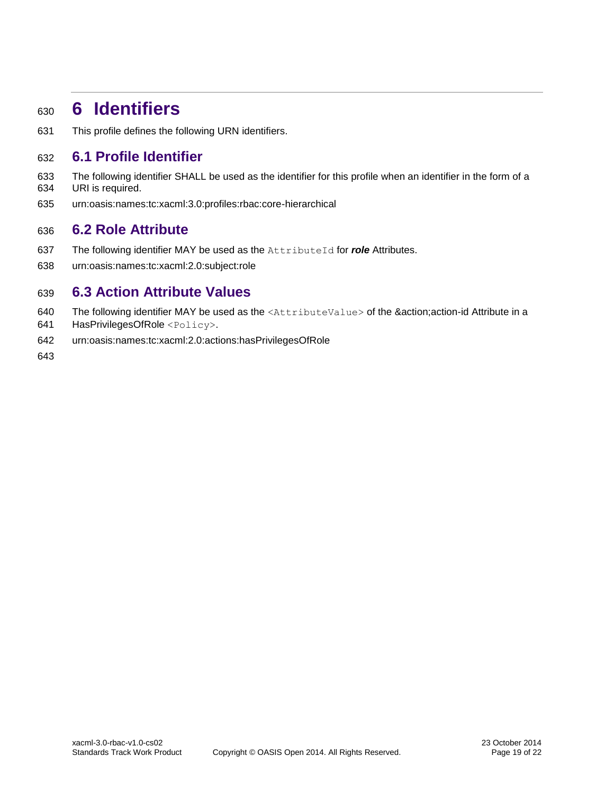# <span id="page-18-0"></span>**6 Identifiers**

This profile defines the following URN identifiers.

# <span id="page-18-1"></span>**6.1 Profile Identifier**

- The following identifier SHALL be used as the identifier for this profile when an identifier in the form of a URI is required.
- urn:oasis:names:tc:xacml:3.0:profiles:rbac:core-hierarchical

### <span id="page-18-2"></span>**6.2 Role Attribute**

- 637 The following identifier MAY be used as the AttributeId for *role* Attributes.
- urn:oasis:names:tc:xacml:2.0:subject:role

### <span id="page-18-3"></span>**6.3 Action Attribute Values**

- 640 The following identifier MAY be used as the <AttributeValue> of the &action;action-id Attribute in a
- HasPrivilegesOfRole <Policy>.
- urn:oasis:names:tc:xacml:2.0:actions:hasPrivilegesOfRole
-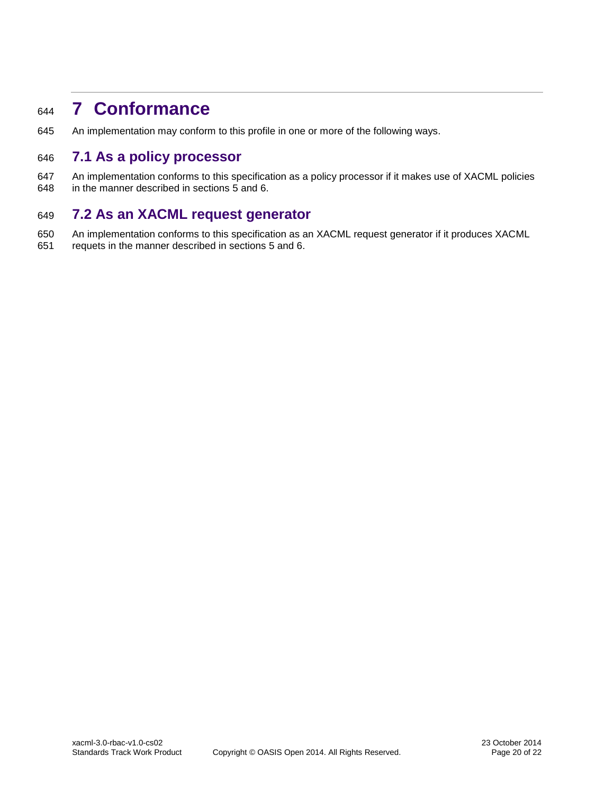# <span id="page-19-0"></span>**7 Conformance**

An implementation may conform to this profile in one or more of the following ways.

# <span id="page-19-1"></span>**7.1 As a policy processor**

 An implementation conforms to this specification as a policy processor if it makes use of XACML policies in the manner described in sections [5](#page-17-0) and [6.](#page-18-0)

# <span id="page-19-2"></span>**7.2 As an XACML request generator**

- An implementation conforms to this specification as an XACML request generator if it produces XACML
- requets in the manner described in sections [5](#page-17-0) and [6.](#page-18-0)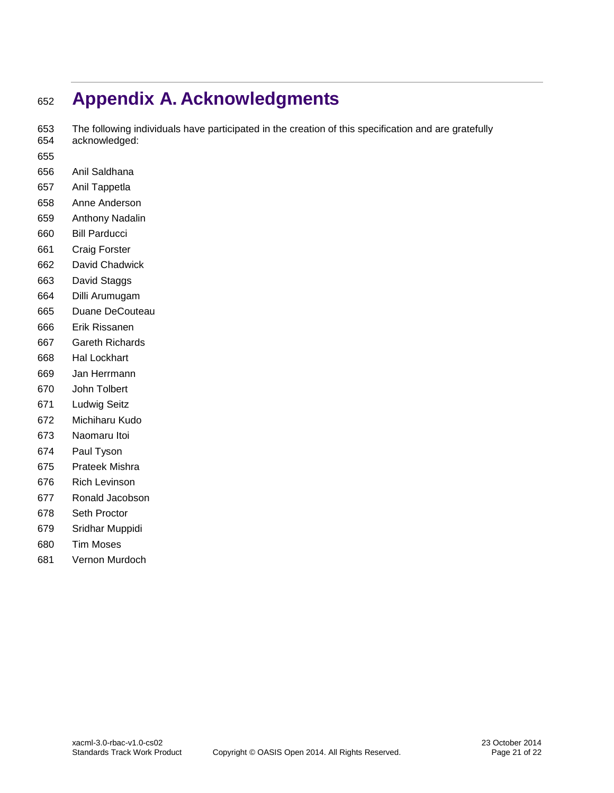# <span id="page-20-0"></span>**Appendix A. Acknowledgments**

 The following individuals have participated in the creation of this specification and are gratefully acknowledged:

- 
- Anil Saldhana
- Anil Tappetla
- Anne Anderson
- Anthony Nadalin
- Bill Parducci
- Craig Forster
- David Chadwick
- David Staggs
- Dilli Arumugam
- Duane DeCouteau
- Erik Rissanen
- Gareth Richards
- Hal Lockhart
- Jan Herrmann
- John Tolbert
- Ludwig Seitz
- Michiharu Kudo
- Naomaru Itoi
- Paul Tyson
- Prateek Mishra
- Rich Levinson
- Ronald Jacobson
- Seth Proctor
- Sridhar Muppidi
- Tim Moses
- Vernon Murdoch